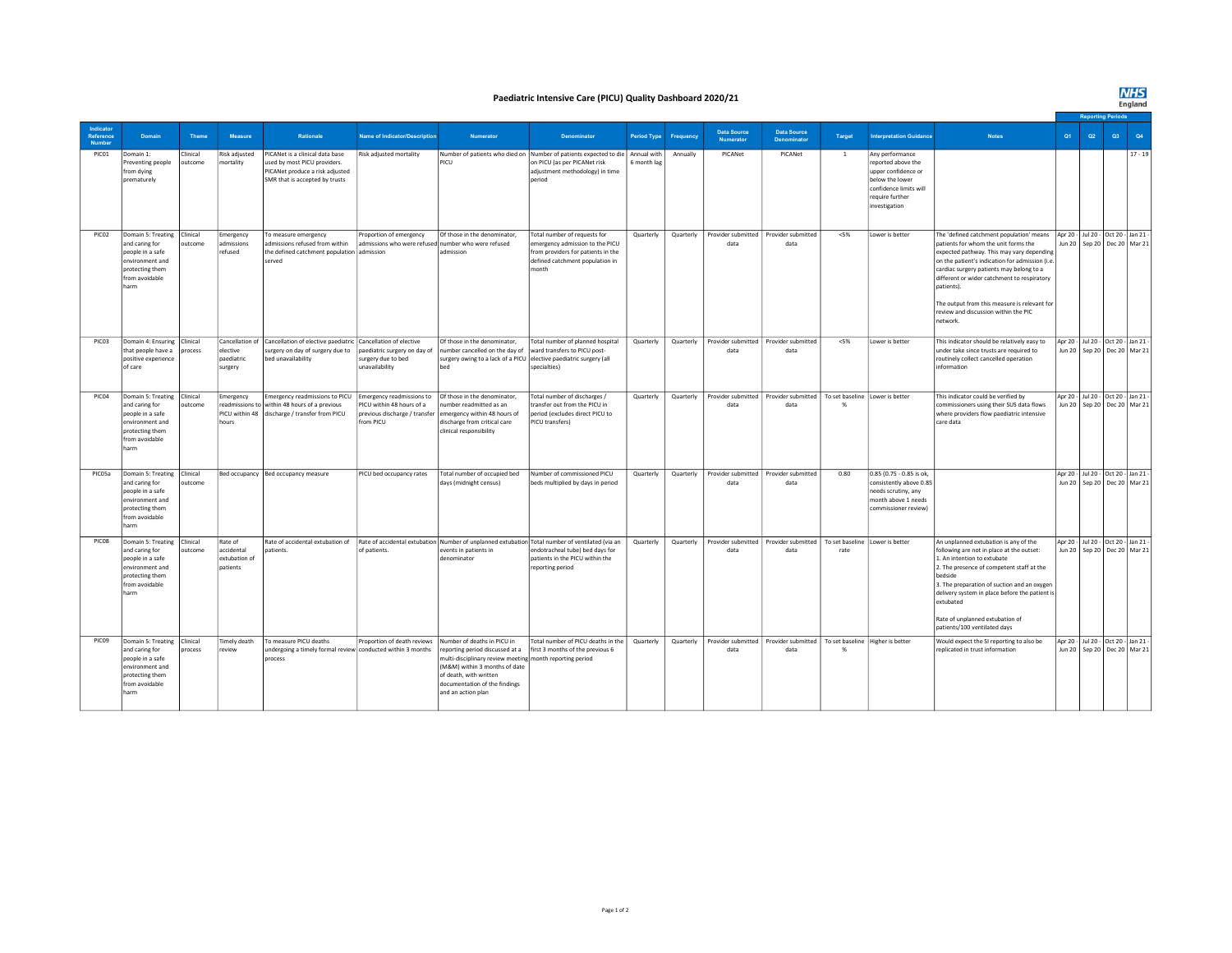**NHS**<br>England

## Paediatric Intensive Care (PICU) Quality Dashboard 2020/21

|                                  |                                                                                                                                   |                     |                                                    |                                                                                                                                         |                                                                                |                                                                                                                                                                                                                                              |                                                                                                                                                                                           |                    |           |                                 |                                          |                                           |                                                                                                                                              |                                                                                                                                                                                                                                                                                                                                                                                                                                  |                                                                          |                                   |    | <b>Reporting Period</b> |           |  |
|----------------------------------|-----------------------------------------------------------------------------------------------------------------------------------|---------------------|----------------------------------------------------|-----------------------------------------------------------------------------------------------------------------------------------------|--------------------------------------------------------------------------------|----------------------------------------------------------------------------------------------------------------------------------------------------------------------------------------------------------------------------------------------|-------------------------------------------------------------------------------------------------------------------------------------------------------------------------------------------|--------------------|-----------|---------------------------------|------------------------------------------|-------------------------------------------|----------------------------------------------------------------------------------------------------------------------------------------------|----------------------------------------------------------------------------------------------------------------------------------------------------------------------------------------------------------------------------------------------------------------------------------------------------------------------------------------------------------------------------------------------------------------------------------|--------------------------------------------------------------------------|-----------------------------------|----|-------------------------|-----------|--|
| Indicator<br>Reference<br>Number | Domain                                                                                                                            | <b>Theme</b>        | Measure                                            | Rationale                                                                                                                               | <b>Name of Indicator/Description</b>                                           | Numerator                                                                                                                                                                                                                                    | <b>Denominator</b>                                                                                                                                                                        | <b>Period Type</b> | Frequency | <b>Data Source</b><br>Numerator | <b>Data Source</b><br><b>Denominator</b> | <b>Target</b>                             | nterpretation Guidance                                                                                                                       | <b>Notes</b>                                                                                                                                                                                                                                                                                                                                                                                                                     | Q1                                                                       | Q <sub>2</sub>                    | Q3 |                         | Q4        |  |
| PIC01                            | Domain 1:<br>Preventing people<br>from dying<br>prematurely                                                                       | Clinical<br>outcome | Risk adjusted<br>mortality                         | PICANet is a clinical data base<br>used by most PICU providers.<br>PICANet produce a risk adjusted<br>SMR that is accepted by trusts    | Risk adjusted mortality                                                        | PICLI                                                                                                                                                                                                                                        | Number of patients who died on Number of patients expected to die Annual with<br>on PICU (as per PICANet risk<br>adjustment methodology) in time<br>period                                | 6 month lag        | Annually  | PICANet                         | PICANet                                  | $\mathbf{1}$                              | Any performance<br>eported above the<br>upper confidence or<br>below the lower<br>confidence limits will<br>require further<br>investigation |                                                                                                                                                                                                                                                                                                                                                                                                                                  |                                                                          |                                   |    |                         | $17 - 19$ |  |
| PICO <sub>2</sub>                | Domain 5: Treating Clinical<br>and caring for<br>people in a safe<br>environment and<br>protecting them<br>from avoidable<br>harm | outcome             | Emergency<br>admissions<br>refused                 | To measure emergency<br>admissions refused from within<br>the defined catchment population admission<br>served                          | Proportion of emergency<br>admissions who were refused number who were refused | Of those in the denominator,<br>admission                                                                                                                                                                                                    | Total number of requests for<br>emergency admission to the PICU<br>from providers for patients in the<br>defined catchment population in<br>nonth                                         | Quarterly          | Quarterly | Provider submitted<br>data      | Provider submitted<br>data               | $<$ 5%                                    | Lower is better                                                                                                                              | The 'defined catchment population' means   Apr 20 - Jul 20 - Oct 20 - Jan 21<br>patients for whom the unit forms the<br>expected pathway. This may vary depending<br>on the patient's indication for admission (i.e<br>cardiac surgery patients may belong to a<br>different or wider catchment to respiratory<br>patients).<br>The output from this measure is relevant for<br>review and discussion within the PIC<br>network. |                                                                          | Jun 20   Sep 20   Dec 20   Mar 21 |    |                         |           |  |
| PICO3                            | Domain 4: Ensuring Clinical<br>that people have a<br>positive experience<br>of care                                               | process             | elective<br>paediatric<br>surgery                  | Cancellation of Cancellation of elective paediatric Cancellation of elective<br>surgery on day of surgery due to<br>bed unavailability  | paediatric surgery on day of<br>surgery due to bed<br>unavailability           | Of those in the denominator,<br>number cancelled on the day of<br>surgery owing to a lack of a PICU elective paediatric surgery (all                                                                                                         | Total number of planned hospital<br>ward transfers to PICU post-<br>specialties)                                                                                                          | Quarterly          | Quarterly | Provider submitted<br>data      | Provider submitted<br>data               | $<$ 5%                                    | Lower is better                                                                                                                              | This indicator should be relatively easy to<br>under take since trusts are required to<br>routinely collect cancelled operation<br>Information                                                                                                                                                                                                                                                                                   | Apr 20 - Jul 20 - Oct 20 - Jan 21<br>Jun 20   Sep 20   Dec 20   Mar 21   |                                   |    |                         |           |  |
| PIC04                            | Domain 5: Treating<br>and caring for<br>people in a safe<br>environment and<br>protecting them<br>from avoidable<br>harm          | Clinical<br>outcome | Emergency<br>hours                                 | <b>Emergency readmissions to PICU</b><br>readmissions to within 48 hours of a previous<br>PICU within 48 discharge / transfer from PICU | Emergency readmissions to<br>PICU within 48 hours of a<br>from PICU            | Of those in the denominator,<br>umber readmitted as an<br>previous discharge / transfer emergency within 48 hours of<br>discharge from critical care<br>clinical responsibility                                                              | Total number of discharges /<br>ransfer out from the PICU in<br>period (excludes direct PICU to<br>PICU transfers)                                                                        | Quarterly          | Quarterly | Provider submitted<br>data      | Provider submitted<br>data               | To set baseline Lower is better           |                                                                                                                                              | This indicator could be verified by<br>commissioners using their SUS data flows<br>where providers flow paediatric intensive<br>care data                                                                                                                                                                                                                                                                                        | Apr 20 - Jul 20 - Oct 20 - Jan 21                                        | Jun 20   Sep 20   Dec 20   Mar 21 |    |                         |           |  |
| PIC05a                           | Domain 5: Treating<br>and caring for<br>people in a safe<br>environment and<br>protecting them<br>from avoidable<br>harm          | Clinical<br>outcome |                                                    | Bed occupancy Bed occupancy measure                                                                                                     | PICU bed occupancy rates                                                       | Total number of occupied bed<br>days (midnight census)                                                                                                                                                                                       | Number of commissioned PICU<br>beds multiplied by days in period                                                                                                                          | Quarterly          | Quarterly | Provider submitted<br>data      | Provider submitted<br>data               | 0.80                                      | 0.85 (0.75 - 0.85 is ok,<br>consistently above 0.85<br>needs scrutiny, any<br>month above 1 needs<br>commissioner review)                    |                                                                                                                                                                                                                                                                                                                                                                                                                                  | Apr 20 - Jul 20 - Oct 20 - Jan 21 -<br>Jun 20   Sep 20   Dec 20   Mar 21 |                                   |    |                         |           |  |
| PICO8                            | Domain 5: Treating<br>and caring for<br>people in a safe<br>environment and<br>protecting them<br>from avoidable<br>harm          | Clinical<br>outcome | Rate of<br>accidental<br>extubation of<br>patients | Rate of accidental extubation of<br>patients.                                                                                           | of patients.                                                                   | wents in patients in<br>denominator                                                                                                                                                                                                          | Rate of accidental extubation Number of unplanned extubation Total number of ventilated (via an<br>endotracheal tube) bed days for<br>patients in the PICU within the<br>reporting period | Quarterly          | Quarterly | Provider submitted<br>data      | Provider submitted<br>data               | To set baseline Lower is better<br>rate   |                                                                                                                                              | An unplanned extubation is any of the<br>following are not in place at the outset:<br>1. An intention to extubate<br>2. The presence of competent staff at the<br>hedside<br>3. The preparation of suction and an oxygen<br>delivery system in place before the patient is<br>extubated<br>Rate of unplanned extubation of<br>patients/100 ventilated days                                                                       | Apr 20 - Jul 20 - Oct 20 - Jan 21<br>Jun 20   Sep 20   Dec 20   Mar 21   |                                   |    |                         |           |  |
| PIC09                            | Domain 5: Treating Clinical<br>and caring for<br>people in a safe<br>environment and<br>protecting them<br>from avoidable<br>harm | process             | Timely death<br>review                             | To measure PICU deaths<br>undergoing a timely formal review conducted within 3 months<br>process                                        | Proportion of death reviews                                                    | Number of deaths in PICU in<br>reporting period discussed at a<br>multi-disciplinary review meeting month reporting period<br>(M&M) within 3 months of date<br>of death, with written<br>documentation of the findings<br>and an action plan | Total number of PICU deaths in the<br>first 3 months of the previous 6                                                                                                                    | Quarterly          | Quarterly | Provider submitted<br>data      | Provider submitted<br>data               | To set baseline Higher is better<br>$Q_0$ |                                                                                                                                              | Would expect the SI reporting to also be<br>replicated in trust information                                                                                                                                                                                                                                                                                                                                                      | Apr 20 - Jul 20 - Oct 20 - Jan 21 -<br>Jun 20   Sep 20   Dec 20   Mar 21 |                                   |    |                         |           |  |